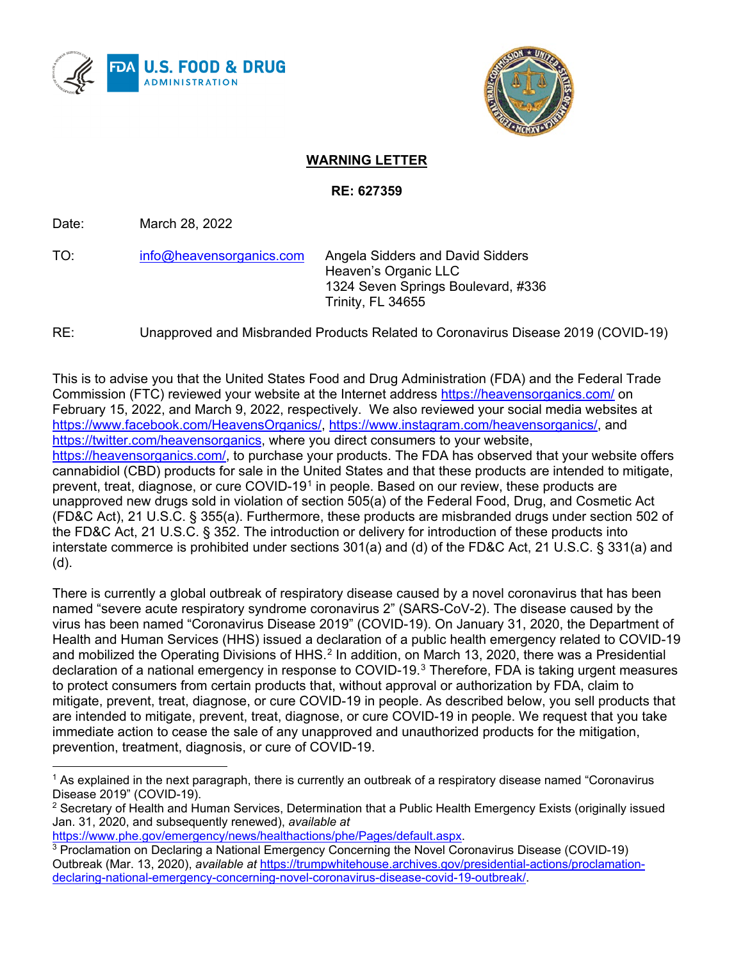



## **WARNING LETTER**

## **RE: 627359**

Date: March 28, 2022

TO: [info@heavensorganics.com](mailto:info@heavensorganics.com) Angela Sidders and David Sidders Heaven's Organic LLC 1324 Seven Springs Boulevard, #336 Trinity, FL 34655

RE: Unapproved and Misbranded Products Related to Coronavirus Disease 2019 (COVID-19)

This is to advise you that the United States Food and Drug Administration (FDA) and the Federal Trade Commission (FTC) reviewed your website at the Internet address <https://heavensorganics.com/> on February 15, 2022, and March 9, 2022, respectively. We also reviewed your social media websites at [https://www.facebook.com/HeavensOrganics/,](https://www.facebook.com/HeavensOrganics/) [https://www.instagram.com/heavensorganics/,](https://www.instagram.com/heavensorganics/) and [https://twitter.com/heavensorganics,](https://twitter.com/heavensorganics) where you direct consumers to your website, [https://heavensorganics.com/,](https://heavensorganics.com/) to purchase your products. The FDA has observed that your website offers cannabidiol (CBD) products for sale in the United States and that these products are intended to mitigate, prevent, treat, diagnose, or cure COVID-[1](#page-0-0)9<sup>1</sup> in people. Based on our review, these products are unapproved new drugs sold in violation of section 505(a) of the Federal Food, Drug, and Cosmetic Act (FD&C Act), 21 U.S.C. § 355(a). Furthermore, these products are misbranded drugs under section 502 of the FD&C Act, 21 U.S.C. § 352. The introduction or delivery for introduction of these products into interstate commerce is prohibited under sections 301(a) and (d) of the FD&C Act, 21 U.S.C. § 331(a) and (d).

There is currently a global outbreak of respiratory disease caused by a novel coronavirus that has been named "severe acute respiratory syndrome coronavirus 2" (SARS-CoV-2). The disease caused by the virus has been named "Coronavirus Disease 2019" (COVID-19). On January 31, 2020, the Department of Health and Human Services (HHS) issued a declaration of a public health emergency related to COVID-19 and mobilized the Operating Divisions of HHS.<sup>[2](#page-0-1)</sup> In addition, on March 13, 2020, there was a Presidential declaration of a national emergency in response to COVID-19.[3](#page-0-2) Therefore, FDA is taking urgent measures to protect consumers from certain products that, without approval or authorization by FDA, claim to mitigate, prevent, treat, diagnose, or cure COVID-19 in people. As described below, you sell products that are intended to mitigate, prevent, treat, diagnose, or cure COVID-19 in people. We request that you take immediate action to cease the sale of any unapproved and unauthorized products for the mitigation, prevention, treatment, diagnosis, or cure of COVID-19.

<span id="page-0-0"></span><sup>&</sup>lt;sup>1</sup> As explained in the next paragraph, there is currently an outbreak of a respiratory disease named "Coronavirus Disease 2019" (COVID-19).

<span id="page-0-1"></span> $2$  Secretary of Health and Human Services, Determination that a Public Health Emergency Exists (originally issued Jan. 31, 2020, and subsequently renewed), *available at*

[https://www.phe.gov/emergency/news/healthactions/phe/Pages/default.aspx.](https://www.phe.gov/emergency/news/healthactions/phe/Pages/default.aspx)

<span id="page-0-2"></span><sup>3</sup> Proclamation on Declaring a National Emergency Concerning the Novel Coronavirus Disease (COVID-19) Outbreak (Mar. 13, 2020), *available at* [https://trumpwhitehouse.archives.gov/presidential-actions/proclamation](https://trumpwhitehouse.archives.gov/presidential-actions/proclamation-declaring-national-emergency-concerning-novel-coronavirus-disease-covid-19-outbreak/)[declaring-national-emergency-concerning-novel-coronavirus-disease-covid-19-outbreak/.](https://trumpwhitehouse.archives.gov/presidential-actions/proclamation-declaring-national-emergency-concerning-novel-coronavirus-disease-covid-19-outbreak/)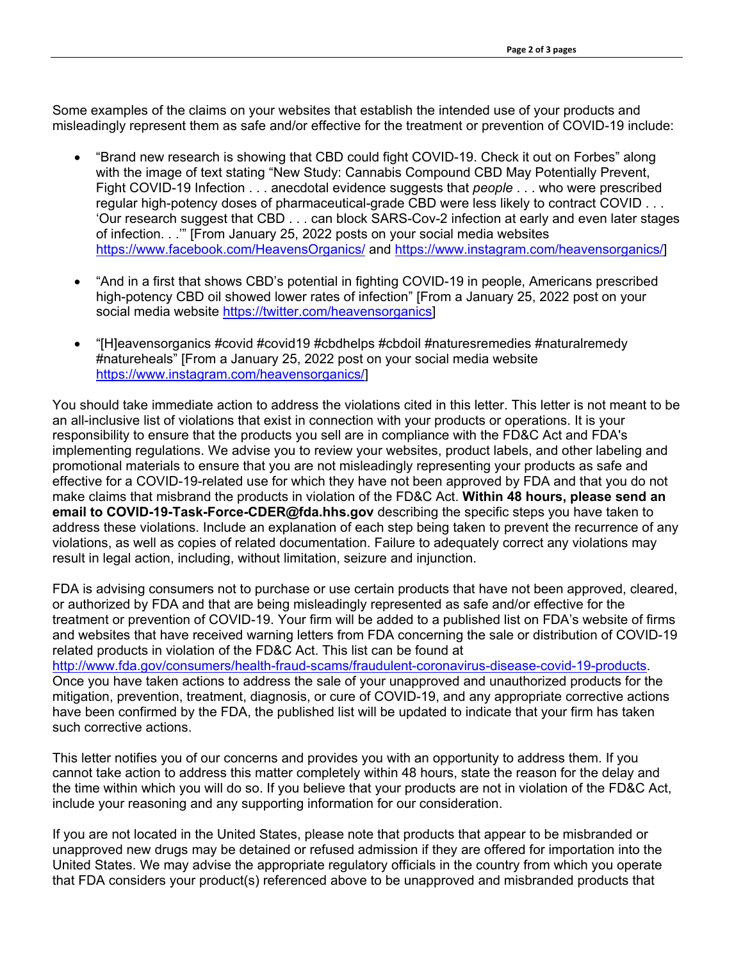Some examples of the claims on your websites that establish the intended use of your products and misleadingly represent them as safe and/or effective for the treatment or prevention of COVID-19 include:

- "Brand new research is showing that CBD could fight COVID-19. Check it out on Forbes" along with the image of text stating "New Study: Cannabis Compound CBD May Potentially Prevent, Fight COVID-19 Infection . . . anecdotal evidence suggests that *people* . . . who were prescribed regular high-potency doses of pharmaceutical-grade CBD were less likely to contract COVID . . . 'Our research suggest that CBD . . . can block SARS-Cov-2 infection at early and even later stages of infection. . .'" [From January 25, 2022 posts on your social media websites <https://www.facebook.com/HeavensOrganics/> and [https://www.instagram.com/heavensorganics/\]](https://www.instagram.com/heavensorganics/)
- "And in a first that shows CBD's potential in fighting COVID-19 in people, Americans prescribed high-potency CBD oil showed lower rates of infection" [From a January 25, 2022 post on your social media website [https://twitter.com/heavensorganics\]](https://twitter.com/heavensorganics)
- "[H]eavensorganics #covid #covid19 #cbdhelps #cbdoil #naturesremedies #naturalremedy #natureheals" [From a January 25, 2022 post on your social media website [https://www.instagram.com/heavensorganics/\]](https://www.instagram.com/heavensorganics/)

You should take immediate action to address the violations cited in this letter. This letter is not meant to be an all-inclusive list of violations that exist in connection with your products or operations. It is your responsibility to ensure that the products you sell are in compliance with the FD&C Act and FDA's implementing regulations. We advise you to review your websites, product labels, and other labeling and promotional materials to ensure that you are not misleadingly representing your products as safe and effective for a COVID-19-related use for which they have not been approved by FDA and that you do not make claims that misbrand the products in violation of the FD&C Act. **Within 48 hours, please send an email to COVID-19-Task-Force-CDER@fda.hhs.gov** describing the specific steps you have taken to address these violations. Include an explanation of each step being taken to prevent the recurrence of any violations, as well as copies of related documentation. Failure to adequately correct any violations may result in legal action, including, without limitation, seizure and injunction.

FDA is advising consumers not to purchase or use certain products that have not been approved, cleared, or authorized by FDA and that are being misleadingly represented as safe and/or effective for the treatment or prevention of COVID-19. Your firm will be added to a published list on FDA's website of firms and websites that have received warning letters from FDA concerning the sale or distribution of COVID-19 related products in violation of the FD&C Act. This list can be found at [http://www.fda.gov/consumers/health-fraud-scams/fraudulent-coronavirus-disease-covid-19-products.](http://www.fda.gov/consumers/health-fraud-scams/fraudulent-coronavirus-disease-covid-19-products) Once you have taken actions to address the sale of your unapproved and unauthorized products for the mitigation, prevention, treatment, diagnosis, or cure of COVID-19, and any appropriate corrective actions have been confirmed by the FDA, the published list will be updated to indicate that your firm has taken such corrective actions.

This letter notifies you of our concerns and provides you with an opportunity to address them. If you cannot take action to address this matter completely within 48 hours, state the reason for the delay and the time within which you will do so. If you believe that your products are not in violation of the FD&C Act, include your reasoning and any supporting information for our consideration.

If you are not located in the United States, please note that products that appear to be misbranded or unapproved new drugs may be detained or refused admission if they are offered for importation into the United States. We may advise the appropriate regulatory officials in the country from which you operate that FDA considers your product(s) referenced above to be unapproved and misbranded products that